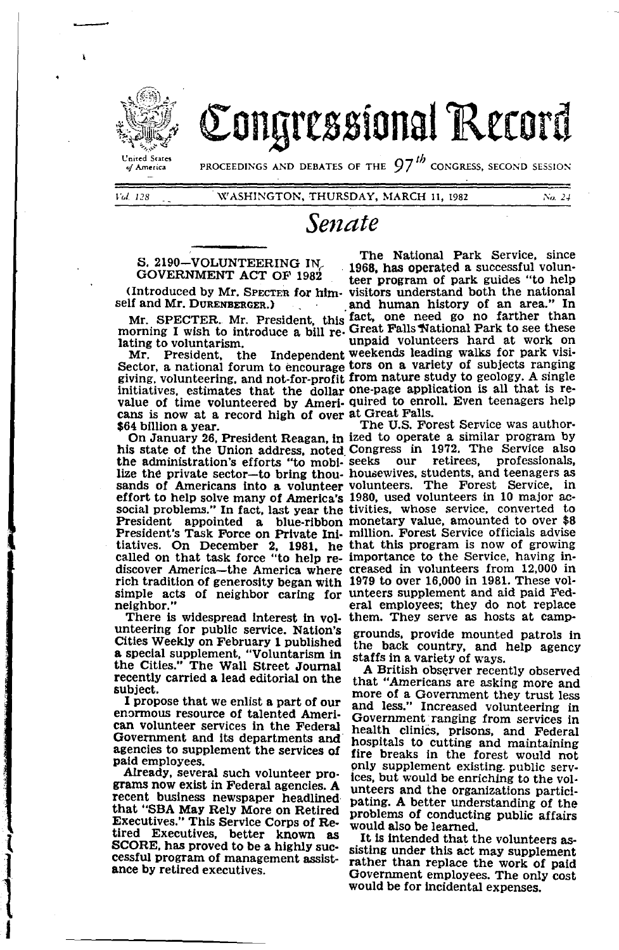

•

i<br>I

## Congressional Record

**United States** of America

proceedings and debates of the  $97$ <sup>th</sup> congress, second session

Vol. 128

WASHINGTON, THURSDAY, MARCH 11, 1982

## No.  $24$

## *Se11ate*

cans is now at a record high of over at Great Falls.<br>\$64 billion a year. The U.S. Fol

effort to help solve many of America's 1980, used volunteers in 10 major acsocial problems." In fact, last year the tivities, whose service, converted to called on that task force "to help re• importance to the Service, having inrich tradition of generosity began with 1979 to over 16,000 in 1981. These volsimple acts of neighbor caring for unteers supplement and aid paid Fed-<br>neighbor." eral employees; they do not replace

unteering for public service. Nation's Cities Weekly on February **1** published **a** special supplement, "Voluntarism in the Cities." The Wall Street Journal recently carried a lead editorial on the subject.

I propose that we enlist a part of our enormous resource of talented American volunteer services in the Federal Government and its departments **and**  agencies to supplement the services **of**  paid employees.

Already, several such volunteer programs now exist in Federal agencies. **A**  recent business newspaper headlined that "SBA May Rely More on Retired Executives." This Service Corps of Retired Executives, better known as SCORE, has proved to be a highly successful program of management assistance by retired executives.

The National Park Service, since S. 2190-VOLUNTEERING IN. 1968, has operated a successful volun-<br>GOVERNMENT ACT OF 1982 teer program of park guides "to help (Introduced by Mr. SPECTER for him-visitors understand both the national self and Mr. DURENBERGER.) and human history of an area." In self and Mr. DURENBERGER.) and human history of an area." In Mr. SPECTER. Mr. President, this fact, one need go no farther than morning I wish to introduce a bill re. Great Falls National Park to see these lating to voluntarism. unpaid volunteers hard at work on Mr. President, the Independent weekends leading walks for park visi-Sector, a national forum to encourage tors on a variety of subjects ranging giving, volunteering, and not-for-profit from nature study to geology. A single initiatives, estimates that the dollar one-page application is all that is revalue of time volunteered by Ameri- quired to enroll. Even teenagers help

The U.S. Forest Service was author-On January 26, President Reagan, in ized to operate a similar program by his state of the Union address, noted Congress in 1972. The Service also<br>the administration's efforts "to mobi- seeks our retirees, professionals, lize the private sector-to bring thou- housewives, students, and teenagers as sands of Americans into a volunteer volunteers. The Forest Service, in President appointed a blue-ribbon monetary value, amounted to over \$8 President's Task Force on Private Int- million. Forest Service officials advise tiatives. On December **2, 1981,** he that this program is now of growing discover America-the America where creased in volunteers from 12,000 in eighbor." eral employees; they do not replace<br>There is widespread interest in vol- them. They serve as hosts at campthem. They serve as hosts at camp-

> grounds, provide mounted patrols in the back country, and help agency staffs in a variety of ways.

> A British observer recently observed that "Americans are asking more and more of a Government they trust less and less." Increased volunteering in Government ranging from services in health clinics, prisons, and Federal hospitals to cutting and maintaining fire breaks in the forest would not only supplement existing. public services, but would be enriching to the volunteers and the organizations participating. A better understanding of the problems of conducting public affairs would also be learned.

It is intended that the volunteers as-<br>sisting under this act may supplement sisting under this act may supplement rather than replace the work of paid Government employees. The only cost would be for incidental expenses.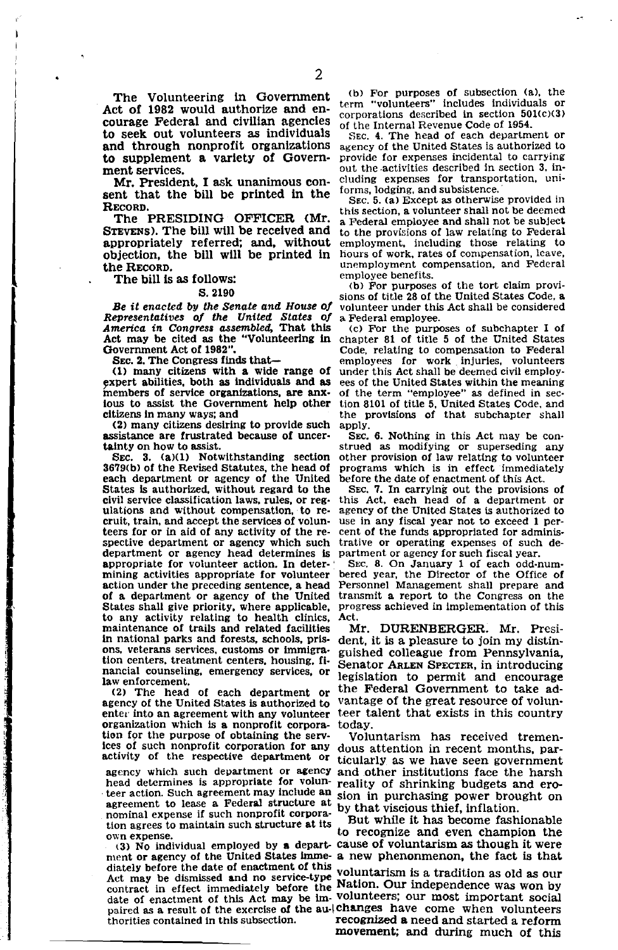The Volunteering in Government Act of 1982 would authorize and encourage Federal and civilian agencies to seek out volunteers as individuals and through nonprofit organizations to supplement a variety of Government services.

Mr. President, I ask unanimous consent that the bill be printed in the RECORD,

The PRESIDING OFFICER **<Mr.**  STEVENS). The bill will be received and appropriately referred; and, without objection, the bill will be printed in the RECORD.

The bill is as follows:

## S.2190

Representatives of the United States of a Federal employee.<br>America in Congress assembled, That this (c) For the purpo Act may be cited as the "Volunteering in Government Act of 1982".

expert abilities, both as individuals and as members of service organizations, are anxmembers of service organizations, are anx-<br>ions to assist the Government help other tion 8101 of title 5. United States Code, and

(2) many citizens desiring to provide such assistance are frustrated because of uncerassistance are frustrated because of uncer-<br>
SEC. 6. Nothing in this Act may be con-<br>
strued as modifying or superseding any

3679(b) of the Revised Statutes, the head of programs which is in effect immediated below that in the vertex of the United before the date of enactment of this Act. each department or agency of the United States is authorized, without regard to the SEC. 7. In carrying out the provisions of civil service classification laws, rules, or reg- this Act, each head of a department or civil service classification laws, rules, or reg-<br>ulations and without compensation, to recruit, train, and accept the services of volun- use in any fiscal year not to exceed 1 per-<br>teers for or in aid of any activity of the re- cent of the funds appropriated for administeers for or in aid of any activity of the respective department or agency which such trative or operating expenses of such de-<br>department or agency head determines is partment or agency for such fiscal year. department or agency head determines is partment or agency for such fiscal year.<br>appropriate for volunteer action. In deter-<br>SEC. 8. On January 1 of each odd-numappropriate for volunteer action. In deter- SEC. 8. On January 1 of each odd-num-<br>mining activities appropriate for volunteer bered year, the Director of the Office of mining activities appropriate for volunteer bered year, the Director of the Office of action under the preceding sentence, a head Personnel Management shall prepare and action under the preceding sentence, a head of a department or agency of the United transmit a report to the Congress on the States shall give priority, where applicable, progress achieved in implementation of this States shall give priority, where applicable, progress achieved in implementation of this to any activity relating to health clinics, Act. maintenance of trails and related facilities Mr. DURENBERGER. Mr. Presiin national parks and forests, schools, pris- dent, it is a pleasure to join my distin-<br>ons, veterans services, customs or immigra- guished colleague from Pennsylvania tion centers, treatment centers, housing, fi- $\frac{S}{100}$  Senator ARLEN SPECTER, in introducing nancial counseling, emergency services, or  $\frac{1}{10}$  cointains to normit, and ancourage

agency of the United States is authorized to Vantage of the great resource of volun-<br>enter into an agreement with any volunteer teer talent that exists in this country enter into an agreement with any volunteer organization which Is a nonprofit corpora- today. tion for the purpose of obtaining the serv-<br>ices of such nonprofit corporation for any dous attention in recent months, par-

agency which such department or agency and other institutions face the harsh head determines is appropriate for volun- reality of shrinking budgets and eroteer action. Such agreement may include an sion in purchasing power brought on agreement to lease a Federal structure at  $_{\text{hu} + \text{bat}}$  risgious thief inflation agre~ment to le~e a Federa.l structure at by that viscious thief inflation. nommal expense 1f such nonprofit corpora- . . • . tlon agrees to maintain such structure at its But Whi!e it has become fas~1onable

 $(3)$  No individual employed by a department or agency of the United States imme- a new phenonmenon, the fact is that diately before the date of enactment of this voluntariors is a the dittor of  $\mathbb{R}$ .  $f_{\text{net}}$  fixed a... a... a.  $\frac{d}{dt}$  and no service-type  $\frac{d}{dt}$  voluntarism is a tradition as old as our

 $(b)$  For purposes of subsection  $(a)$ , the term "volunteers" Includes Individuals or corporations described in section 50l(c)(3) of the Internal Revenue Code of 1954.

SEc. 4. The head of each department or agency of the United States is authorized to provide for expenses incidental to carrying out the activities described in section 3. including expenses for transportation, uniforms, lodging, and subsistence.·

SEC. 5. (a) Except as otherwise provided in this section, **a** volunteer shall not be deemed a Federal employee **and** shall not be subJect to the provisions of law relating to Federal employment, including those relating to hours of work, rates of compensation, leave, unemployment compensation. and Federal employee benefits.

(b) For purposes of the tort claim provisions of title 28 of the United States Code, **a**  Be it enacted by the Senate and House of volunteer under this Act shall be considered

(c) For the purposes of subchapter I of chapter 81 of title 5 of the United States overnment Act of 1982".<br>
Gode, relating to compensation to Federal<br>
GEC. 2. The Congress finds that—
employees for work injuries, volunteers SEC. 2. The Congress finds that—<br>(1) many citizens with a wide range of under this Act shall be deemed civil employunder this Act shall be deemed civil employ-<br>ees of the United States within the meaning tion 8101 of title 5, United States Code, and citizens in many ways; and the provisions of that subchapter shall<br>(2) many citizens desiring to provide such apply.

that the vertex on how to assist.<br>the strued as modifying or superseding any<br>Sec. 3. (a)(1) Notwithstanding section other provision of law relating to volunteer other provision of law relating to volunteer<br>programs which is in effect immediately

agency of the United States is authorized to use in any fiscal year not to exceed 1 per-

guished colleague from Pennsylvania, hancellar counselling, emergency services, or legislation to permit and encourage law enforcement.<br>(2) The head of each department or the Federal Government to take ad-(2) The head of each department or the Federal Government to take ad-<br>gency of the United States is authorized to Vantage of the great resource of volun-

lces of such nonprofit corporation for any dous attention in recent months, par-<br>activity of the respective department or tioularly as we have seen government ticularly as we have seen government

own expense.<br>
own expense.<br>
(3) No individual employed by a depart- cause of voluntarism as though it were

contract in effect immediately before the Nation. Our independence was won by date of enactment of this Act may be Im- volunteers; our most Important social paired as a result of the exercise of the  $au$ - $\vert$ changes have come when volunteers thorities contained in this subsection. **recognized a** need and started a reform recognized a need and started a reform movement; and during much of this